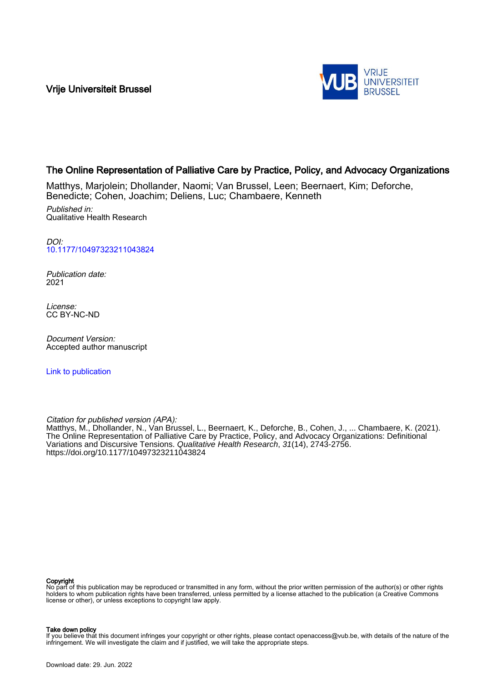Vrije Universiteit Brussel



# The Online Representation of Palliative Care by Practice, Policy, and Advocacy Organizations

Matthys, Marjolein; Dhollander, Naomi; Van Brussel, Leen; Beernaert, Kim; Deforche, Benedicte; Cohen, Joachim; Deliens, Luc; Chambaere, Kenneth

Published in: Qualitative Health Research

DOI: [10.1177/10497323211043824](https://doi.org/10.1177/10497323211043824)

Publication date: 2021

License: CC BY-NC-ND

Document Version: Accepted author manuscript

[Link to publication](https://researchportal.vub.be/en/publications/3c927c3b-2430-4306-88a9-53b5ee20ed89)

Citation for published version (APA):

Matthys, M., Dhollander, N., Van Brussel, L., Beernaert, K., Deforche, B., Cohen, J., ... Chambaere, K. (2021). The Online Representation of Palliative Care by Practice, Policy, and Advocacy Organizations: Definitional Variations and Discursive Tensions. Qualitative Health Research, 31(14), 2743-2756. <https://doi.org/10.1177/10497323211043824>

#### Copyright

No part of this publication may be reproduced or transmitted in any form, without the prior written permission of the author(s) or other rights holders to whom publication rights have been transferred, unless permitted by a license attached to the publication (a Creative Commons license or other), or unless exceptions to copyright law apply.

#### Take down policy

If you believe that this document infringes your copyright or other rights, please contact openaccess@vub.be, with details of the nature of the infringement. We will investigate the claim and if justified, we will take the appropriate steps.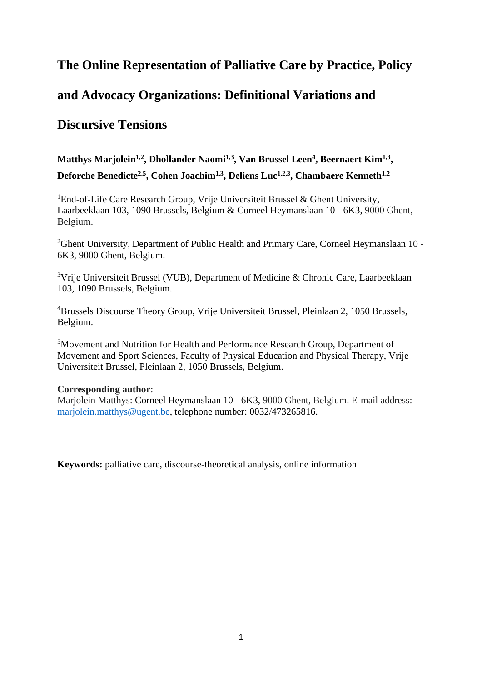# **The Online Representation of Palliative Care by Practice, Policy**

# **and Advocacy Organizations: Definitional Variations and**

# **Discursive Tensions**

# **Matthys Marjolein1,2, Dhollander Naomi1,3, Van Brussel Leen<sup>4</sup> , Beernaert Kim1,3 , Deforche Benedicte2,5, Cohen Joachim1,3, Deliens Luc1,2,3, Chambaere Kenneth1,2**

<sup>1</sup>End-of-Life Care Research Group, Vrije Universiteit Brussel & Ghent University, Laarbeeklaan 103, 1090 Brussels, Belgium & Corneel Heymanslaan 10 - 6K3, 9000 Ghent, Belgium.

<sup>2</sup>Ghent University, Department of Public Health and Primary Care, Corneel Heymanslaan 10 -6K3, 9000 Ghent, Belgium.

<sup>3</sup>Vrije Universiteit Brussel (VUB), Department of Medicine & Chronic Care, Laarbeeklaan 103, 1090 Brussels, Belgium.

<sup>4</sup>Brussels Discourse Theory Group, Vrije Universiteit Brussel, Pleinlaan 2, 1050 Brussels, Belgium.

<sup>5</sup>Movement and Nutrition for Health and Performance Research Group, Department of Movement and Sport Sciences, Faculty of Physical Education and Physical Therapy, Vrije Universiteit Brussel, Pleinlaan 2, 1050 Brussels, Belgium.

# **Corresponding author**:

Marjolein Matthys: Corneel Heymanslaan 10 - 6K3, 9000 Ghent, Belgium. E-mail address: [marjolein.matthys@ugent.be,](mailto:marjolein.matthys@ugent.be) telephone number: 0032/473265816.

**Keywords:** palliative care, discourse-theoretical analysis, online information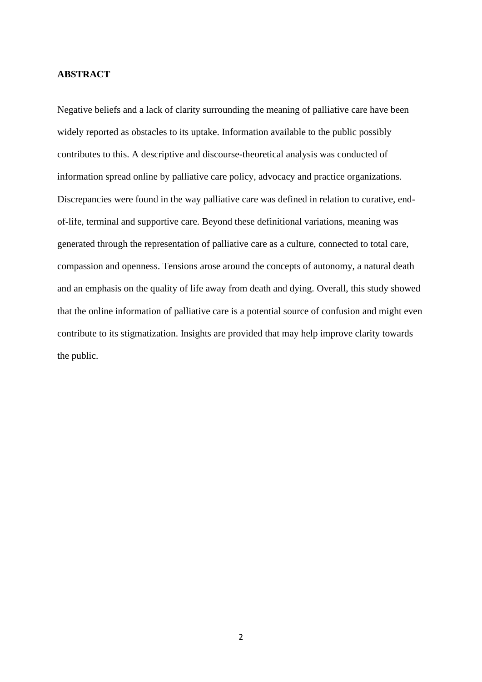# **ABSTRACT**

Negative beliefs and a lack of clarity surrounding the meaning of palliative care have been widely reported as obstacles to its uptake. Information available to the public possibly contributes to this. A descriptive and discourse-theoretical analysis was conducted of information spread online by palliative care policy, advocacy and practice organizations. Discrepancies were found in the way palliative care was defined in relation to curative, endof-life, terminal and supportive care. Beyond these definitional variations, meaning was generated through the representation of palliative care as a culture, connected to total care, compassion and openness. Tensions arose around the concepts of autonomy, a natural death and an emphasis on the quality of life away from death and dying. Overall, this study showed that the online information of palliative care is a potential source of confusion and might even contribute to its stigmatization. Insights are provided that may help improve clarity towards the public.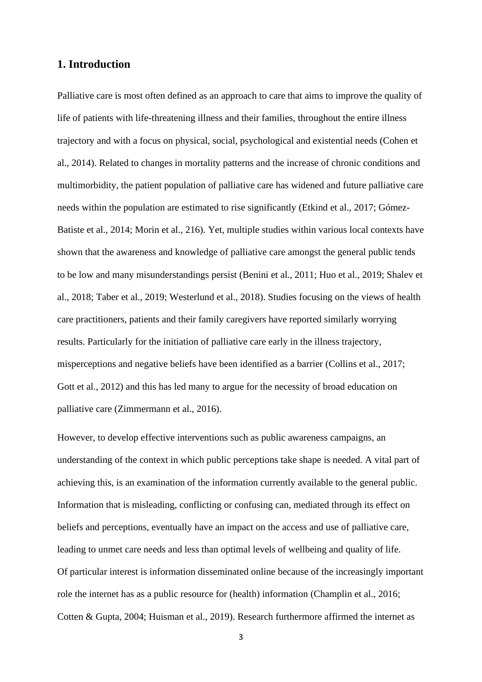# **1. Introduction**

Palliative care is most often defined as an approach to care that aims to improve the quality of life of patients with life-threatening illness and their families, throughout the entire illness trajectory and with a focus on physical, social, psychological and existential needs (Cohen et al., 2014). Related to changes in mortality patterns and the increase of chronic conditions and multimorbidity, the patient population of palliative care has widened and future palliative care needs within the population are estimated to rise significantly (Etkind et al., 2017; Gómez-Batiste et al., 2014; Morin et al., 216). Yet, multiple studies within various local contexts have shown that the awareness and knowledge of palliative care amongst the general public tends to be low and many misunderstandings persist (Benini et al., 2011; Huo et al., 2019; Shalev et al., 2018; Taber et al., 2019; Westerlund et al., 2018). Studies focusing on the views of health care practitioners, patients and their family caregivers have reported similarly worrying results. Particularly for the initiation of palliative care early in the illness trajectory, misperceptions and negative beliefs have been identified as a barrier (Collins et al., 2017; Gott et al., 2012) and this has led many to argue for the necessity of broad education on palliative care (Zimmermann et al., 2016).

However, to develop effective interventions such as public awareness campaigns, an understanding of the context in which public perceptions take shape is needed. A vital part of achieving this, is an examination of the information currently available to the general public. Information that is misleading, conflicting or confusing can, mediated through its effect on beliefs and perceptions, eventually have an impact on the access and use of palliative care, leading to unmet care needs and less than optimal levels of wellbeing and quality of life. Of particular interest is information disseminated online because of the increasingly important role the internet has as a public resource for (health) information (Champlin et al., 2016; Cotten & Gupta, 2004; Huisman et al., 2019). Research furthermore affirmed the internet as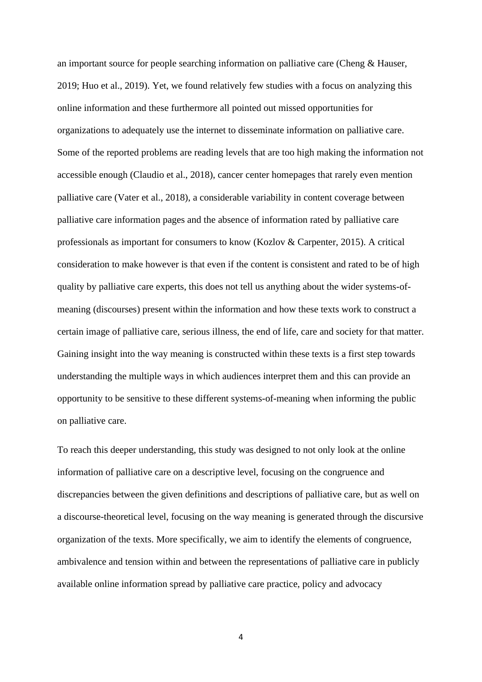an important source for people searching information on palliative care (Cheng & Hauser, 2019; Huo et al., 2019). Yet, we found relatively few studies with a focus on analyzing this online information and these furthermore all pointed out missed opportunities for organizations to adequately use the internet to disseminate information on palliative care. Some of the reported problems are reading levels that are too high making the information not accessible enough (Claudio et al., 2018), cancer center homepages that rarely even mention palliative care (Vater et al., 2018), a considerable variability in content coverage between palliative care information pages and the absence of information rated by palliative care professionals as important for consumers to know (Kozlov & Carpenter, 2015). A critical consideration to make however is that even if the content is consistent and rated to be of high quality by palliative care experts, this does not tell us anything about the wider systems-ofmeaning (discourses) present within the information and how these texts work to construct a certain image of palliative care, serious illness, the end of life, care and society for that matter. Gaining insight into the way meaning is constructed within these texts is a first step towards understanding the multiple ways in which audiences interpret them and this can provide an opportunity to be sensitive to these different systems-of-meaning when informing the public on palliative care.

To reach this deeper understanding, this study was designed to not only look at the online information of palliative care on a descriptive level, focusing on the congruence and discrepancies between the given definitions and descriptions of palliative care, but as well on a discourse-theoretical level, focusing on the way meaning is generated through the discursive organization of the texts. More specifically, we aim to identify the elements of congruence, ambivalence and tension within and between the representations of palliative care in publicly available online information spread by palliative care practice, policy and advocacy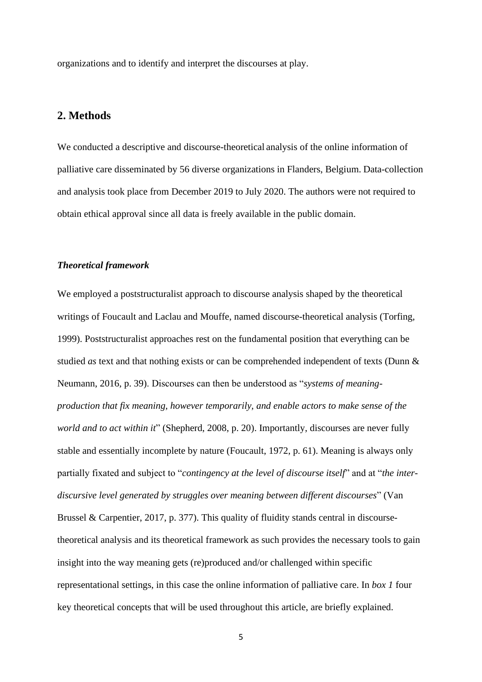organizations and to identify and interpret the discourses at play.

# **2. Methods**

We conducted a descriptive and discourse-theoretical analysis of the online information of palliative care disseminated by 56 diverse organizations in Flanders, Belgium. Data-collection and analysis took place from December 2019 to July 2020. The authors were not required to obtain ethical approval since all data is freely available in the public domain.

### *Theoretical framework*

We employed a poststructuralist approach to discourse analysis shaped by the theoretical writings of Foucault and Laclau and Mouffe, named discourse-theoretical analysis (Torfing, 1999). Poststructuralist approaches rest on the fundamental position that everything can be studied *as* text and that nothing exists or can be comprehended independent of texts (Dunn & Neumann, 2016, p. 39). Discourses can then be understood as "*systems of meaningproduction that fix meaning, however temporarily, and enable actors to make sense of the world and to act within it*" (Shepherd, 2008, p. 20). Importantly, discourses are never fully stable and essentially incomplete by nature (Foucault, 1972, p. 61). Meaning is always only partially fixated and subject to "*contingency at the level of discourse itself*" and at "*the interdiscursive level generated by struggles over meaning between different discourses*" (Van Brussel & Carpentier, 2017, p. 377). This quality of fluidity stands central in discoursetheoretical analysis and its theoretical framework as such provides the necessary tools to gain insight into the way meaning gets (re)produced and/or challenged within specific representational settings, in this case the online information of palliative care. In *box 1* four key theoretical concepts that will be used throughout this article, are briefly explained.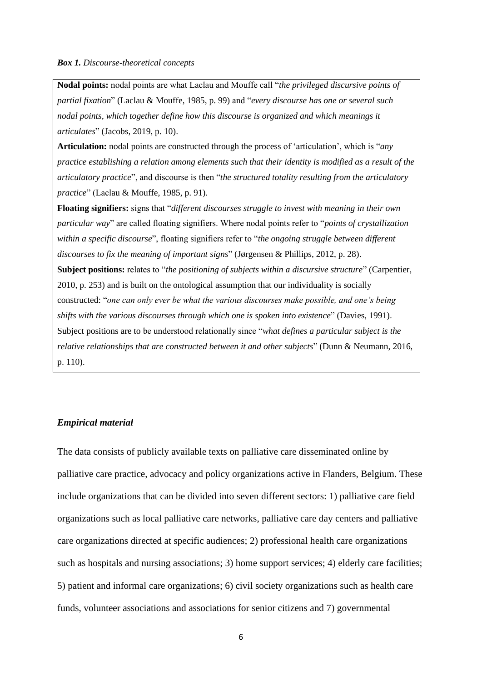#### *Box 1. Discourse-theoretical concepts*

**Nodal points:** nodal points are what Laclau and Mouffe call "*the privileged discursive points of partial fixation*" (Laclau & Mouffe, 1985, p. 99) and "*every discourse has one or several such nodal points, which together define how this discourse is organized and which meanings it articulates*" (Jacobs, 2019, p. 10).

**Articulation:** nodal points are constructed through the process of 'articulation', which is "*any practice establishing a relation among elements such that their identity is modified as a result of the articulatory practice*", and discourse is then "*the structured totality resulting from the articulatory practice*" (Laclau & Mouffe, 1985, p. 91).

**Floating signifiers:** signs that "*different discourses struggle to invest with meaning in their own particular way*" are called floating signifiers. Where nodal points refer to "*points of crystallization within a specific discourse*", floating signifiers refer to "*the ongoing struggle between different discourses to fix the meaning of important signs*" (Jørgensen & Phillips, 2012, p. 28). **Subject positions:** relates to "*the positioning of subjects within a discursive structure*" (Carpentier, 2010, p. 253) and is built on the ontological assumption that our individuality is socially constructed: "*one can only ever be what the various discourses make possible, and one's being shifts with the various discourses through which one is spoken into existence*" (Davies, 1991). Subject positions are to be understood relationally since "*what defines a particular subject is the relative relationships that are constructed between it and other subjects*" (Dunn & Neumann, 2016, p. 110).

## *Empirical material*

The data consists of publicly available texts on palliative care disseminated online by palliative care practice, advocacy and policy organizations active in Flanders, Belgium. These include organizations that can be divided into seven different sectors: 1) palliative care field organizations such as local palliative care networks, palliative care day centers and palliative care organizations directed at specific audiences; 2) professional health care organizations such as hospitals and nursing associations; 3) home support services; 4) elderly care facilities; 5) patient and informal care organizations; 6) civil society organizations such as health care funds, volunteer associations and associations for senior citizens and 7) governmental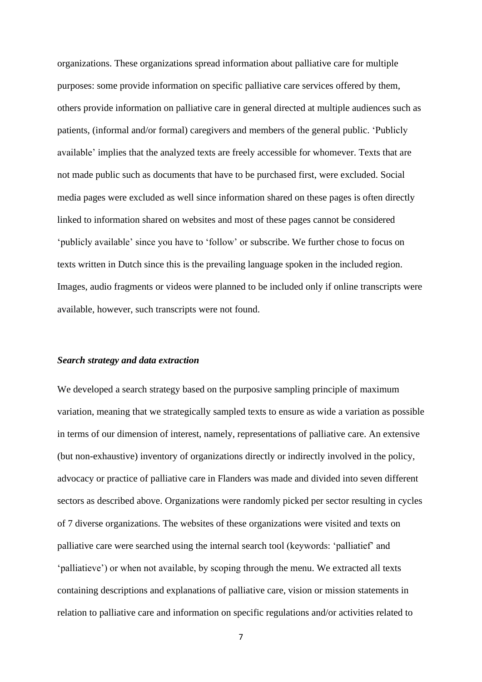organizations. These organizations spread information about palliative care for multiple purposes: some provide information on specific palliative care services offered by them, others provide information on palliative care in general directed at multiple audiences such as patients, (informal and/or formal) caregivers and members of the general public. 'Publicly available' implies that the analyzed texts are freely accessible for whomever. Texts that are not made public such as documents that have to be purchased first, were excluded. Social media pages were excluded as well since information shared on these pages is often directly linked to information shared on websites and most of these pages cannot be considered 'publicly available' since you have to 'follow' or subscribe. We further chose to focus on texts written in Dutch since this is the prevailing language spoken in the included region. Images, audio fragments or videos were planned to be included only if online transcripts were available, however, such transcripts were not found.

#### *Search strategy and data extraction*

We developed a search strategy based on the purposive sampling principle of maximum variation, meaning that we strategically sampled texts to ensure as wide a variation as possible in terms of our dimension of interest, namely, representations of palliative care. An extensive (but non-exhaustive) inventory of organizations directly or indirectly involved in the policy, advocacy or practice of palliative care in Flanders was made and divided into seven different sectors as described above. Organizations were randomly picked per sector resulting in cycles of 7 diverse organizations. The websites of these organizations were visited and texts on palliative care were searched using the internal search tool (keywords: 'palliatief' and 'palliatieve') or when not available, by scoping through the menu. We extracted all texts containing descriptions and explanations of palliative care, vision or mission statements in relation to palliative care and information on specific regulations and/or activities related to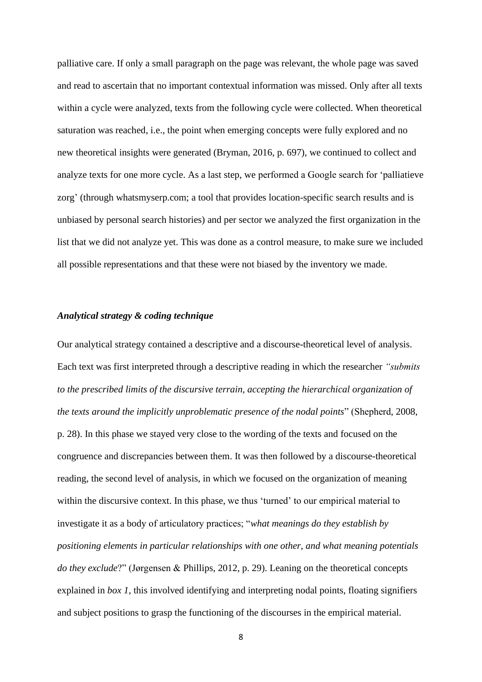palliative care. If only a small paragraph on the page was relevant, the whole page was saved and read to ascertain that no important contextual information was missed. Only after all texts within a cycle were analyzed, texts from the following cycle were collected. When theoretical saturation was reached, i.e., the point when emerging concepts were fully explored and no new theoretical insights were generated (Bryman, 2016, p. 697), we continued to collect and analyze texts for one more cycle. As a last step, we performed a Google search for 'palliatieve zorg' (through whatsmyserp.com; a tool that provides location-specific search results and is unbiased by personal search histories) and per sector we analyzed the first organization in the list that we did not analyze yet. This was done as a control measure, to make sure we included all possible representations and that these were not biased by the inventory we made.

### *Analytical strategy & coding technique*

Our analytical strategy contained a descriptive and a discourse-theoretical level of analysis. Each text was first interpreted through a descriptive reading in which the researcher *"submits to the prescribed limits of the discursive terrain, accepting the hierarchical organization of the texts around the implicitly unproblematic presence of the nodal points*" (Shepherd, 2008, p. 28). In this phase we stayed very close to the wording of the texts and focused on the congruence and discrepancies between them. It was then followed by a discourse-theoretical reading, the second level of analysis, in which we focused on the organization of meaning within the discursive context. In this phase, we thus 'turned' to our empirical material to investigate it as a body of articulatory practices; "*what meanings do they establish by positioning elements in particular relationships with one other, and what meaning potentials do they exclude*?" (Jørgensen & Phillips, 2012, p. 29). Leaning on the theoretical concepts explained in *box 1*, this involved identifying and interpreting nodal points, floating signifiers and subject positions to grasp the functioning of the discourses in the empirical material.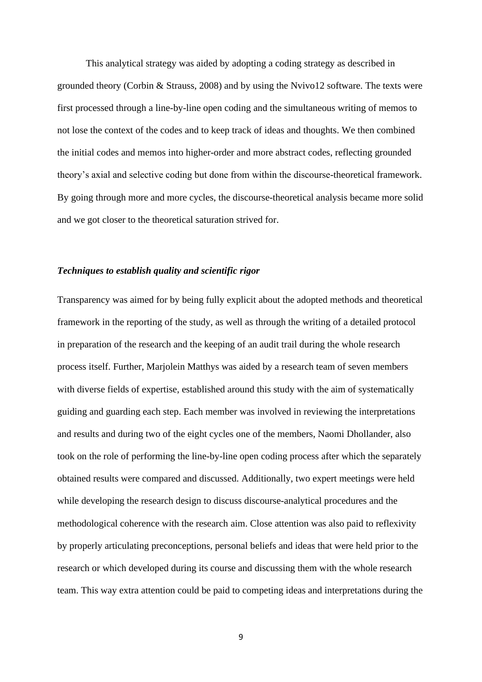This analytical strategy was aided by adopting a coding strategy as described in grounded theory (Corbin & Strauss, 2008) and by using the Nvivo12 software. The texts were first processed through a line-by-line open coding and the simultaneous writing of memos to not lose the context of the codes and to keep track of ideas and thoughts. We then combined the initial codes and memos into higher-order and more abstract codes, reflecting grounded theory's axial and selective coding but done from within the discourse-theoretical framework. By going through more and more cycles, the discourse-theoretical analysis became more solid and we got closer to the theoretical saturation strived for.

#### *Techniques to establish quality and scientific rigor*

Transparency was aimed for by being fully explicit about the adopted methods and theoretical framework in the reporting of the study, as well as through the writing of a detailed protocol in preparation of the research and the keeping of an audit trail during the whole research process itself. Further, Marjolein Matthys was aided by a research team of seven members with diverse fields of expertise, established around this study with the aim of systematically guiding and guarding each step. Each member was involved in reviewing the interpretations and results and during two of the eight cycles one of the members, Naomi Dhollander, also took on the role of performing the line-by-line open coding process after which the separately obtained results were compared and discussed. Additionally, two expert meetings were held while developing the research design to discuss discourse-analytical procedures and the methodological coherence with the research aim. Close attention was also paid to reflexivity by properly articulating preconceptions, personal beliefs and ideas that were held prior to the research or which developed during its course and discussing them with the whole research team. This way extra attention could be paid to competing ideas and interpretations during the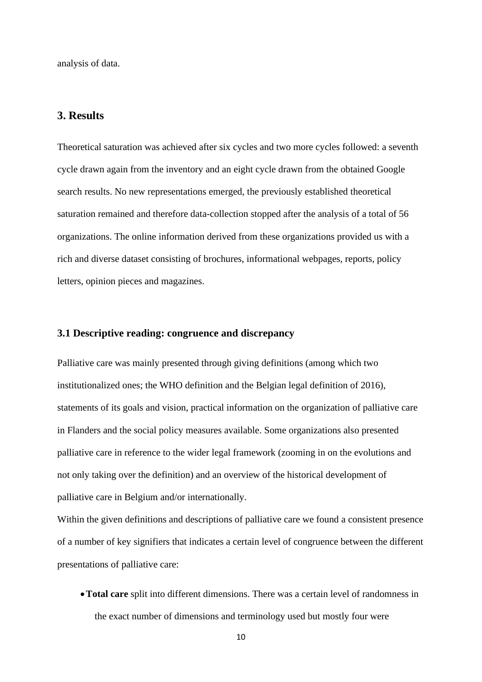analysis of data.

# **3. Results**

Theoretical saturation was achieved after six cycles and two more cycles followed: a seventh cycle drawn again from the inventory and an eight cycle drawn from the obtained Google search results. No new representations emerged, the previously established theoretical saturation remained and therefore data-collection stopped after the analysis of a total of 56 organizations. The online information derived from these organizations provided us with a rich and diverse dataset consisting of brochures, informational webpages, reports, policy letters, opinion pieces and magazines.

# **3.1 Descriptive reading: congruence and discrepancy**

Palliative care was mainly presented through giving definitions (among which two institutionalized ones; the WHO definition and the Belgian legal definition of 2016), statements of its goals and vision, practical information on the organization of palliative care in Flanders and the social policy measures available. Some organizations also presented palliative care in reference to the wider legal framework (zooming in on the evolutions and not only taking over the definition) and an overview of the historical development of palliative care in Belgium and/or internationally.

Within the given definitions and descriptions of palliative care we found a consistent presence of a number of key signifiers that indicates a certain level of congruence between the different presentations of palliative care:

•**Total care** split into different dimensions. There was a certain level of randomness in the exact number of dimensions and terminology used but mostly four were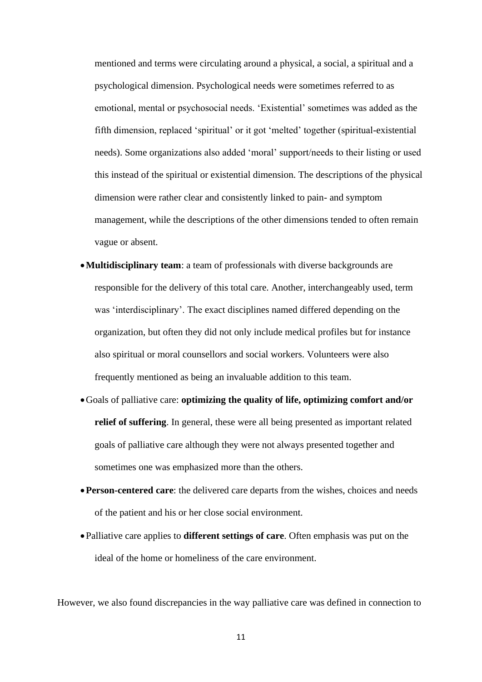mentioned and terms were circulating around a physical, a social, a spiritual and a psychological dimension. Psychological needs were sometimes referred to as emotional, mental or psychosocial needs. 'Existential' sometimes was added as the fifth dimension, replaced 'spiritual' or it got 'melted' together (spiritual-existential needs). Some organizations also added 'moral' support/needs to their listing or used this instead of the spiritual or existential dimension. The descriptions of the physical dimension were rather clear and consistently linked to pain- and symptom management, while the descriptions of the other dimensions tended to often remain vague or absent.

- •**Multidisciplinary team**: a team of professionals with diverse backgrounds are responsible for the delivery of this total care. Another, interchangeably used, term was 'interdisciplinary'. The exact disciplines named differed depending on the organization, but often they did not only include medical profiles but for instance also spiritual or moral counsellors and social workers. Volunteers were also frequently mentioned as being an invaluable addition to this team.
- •Goals of palliative care: **optimizing the quality of life, optimizing comfort and/or relief of suffering**. In general, these were all being presented as important related goals of palliative care although they were not always presented together and sometimes one was emphasized more than the others.
- •**Person-centered care**: the delivered care departs from the wishes, choices and needs of the patient and his or her close social environment.
- •Palliative care applies to **different settings of care**. Often emphasis was put on the ideal of the home or homeliness of the care environment.

However, we also found discrepancies in the way palliative care was defined in connection to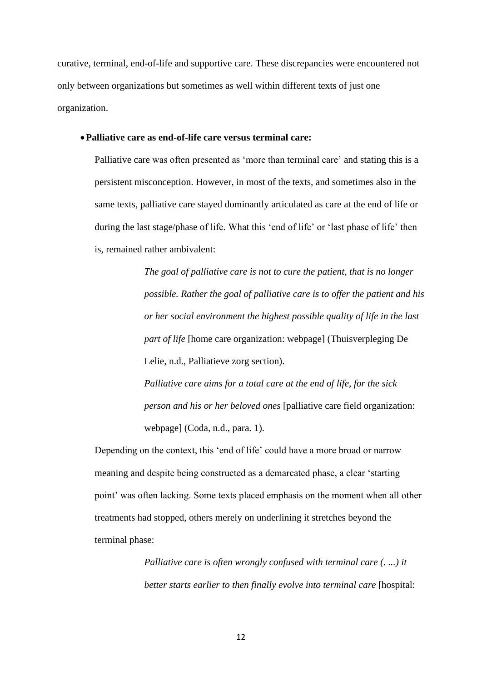curative, terminal, end-of-life and supportive care. These discrepancies were encountered not only between organizations but sometimes as well within different texts of just one organization.

# •**Palliative care as end-of-life care versus terminal care:**

Palliative care was often presented as 'more than terminal care' and stating this is a persistent misconception. However, in most of the texts, and sometimes also in the same texts, palliative care stayed dominantly articulated as care at the end of life or during the last stage/phase of life. What this 'end of life' or 'last phase of life' then is, remained rather ambivalent:

> *The goal of palliative care is not to cure the patient, that is no longer possible. Rather the goal of palliative care is to offer the patient and his or her social environment the highest possible quality of life in the last part of life* [home care organization: webpage] (Thuisverpleging De Lelie, n.d., Palliatieve zorg section).

*Palliative care aims for a total care at the end of life, for the sick person and his or her beloved ones* [palliative care field organization: webpage] (Coda, n.d., para. 1).

Depending on the context, this 'end of life' could have a more broad or narrow meaning and despite being constructed as a demarcated phase, a clear 'starting point' was often lacking. Some texts placed emphasis on the moment when all other treatments had stopped, others merely on underlining it stretches beyond the terminal phase:

> *Palliative care is often wrongly confused with terminal care (. ...) it better starts earlier to then finally evolve into terminal care* [hospital: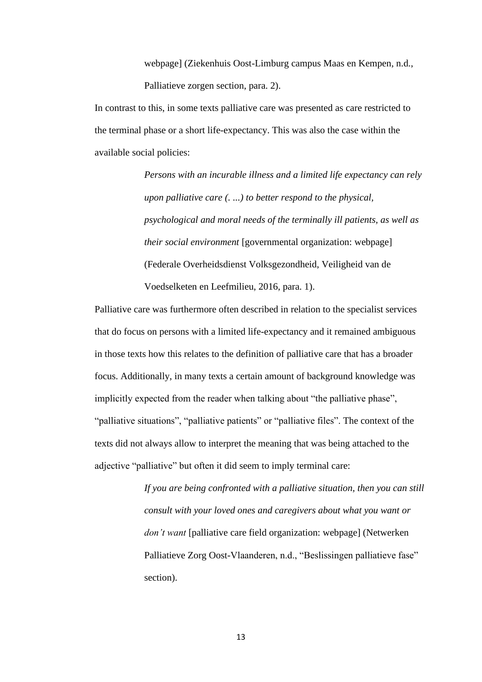webpage] (Ziekenhuis Oost-Limburg campus Maas en Kempen, n.d., Palliatieve zorgen section, para. 2).

In contrast to this, in some texts palliative care was presented as care restricted to the terminal phase or a short life-expectancy. This was also the case within the available social policies:

> *Persons with an incurable illness and a limited life expectancy can rely upon palliative care (. ...) to better respond to the physical, psychological and moral needs of the terminally ill patients, as well as their social environment* [governmental organization: webpage] (Federale Overheidsdienst Volksgezondheid, Veiligheid van de Voedselketen en Leefmilieu, 2016, para. 1).

Palliative care was furthermore often described in relation to the specialist services that do focus on persons with a limited life-expectancy and it remained ambiguous in those texts how this relates to the definition of palliative care that has a broader focus. Additionally, in many texts a certain amount of background knowledge was implicitly expected from the reader when talking about "the palliative phase", "palliative situations", "palliative patients" or "palliative files". The context of the texts did not always allow to interpret the meaning that was being attached to the adjective "palliative" but often it did seem to imply terminal care:

> *If you are being confronted with a palliative situation, then you can still consult with your loved ones and caregivers about what you want or don't want* [palliative care field organization: webpage] (Netwerken Palliatieve Zorg Oost-Vlaanderen, n.d., "Beslissingen palliatieve fase" section).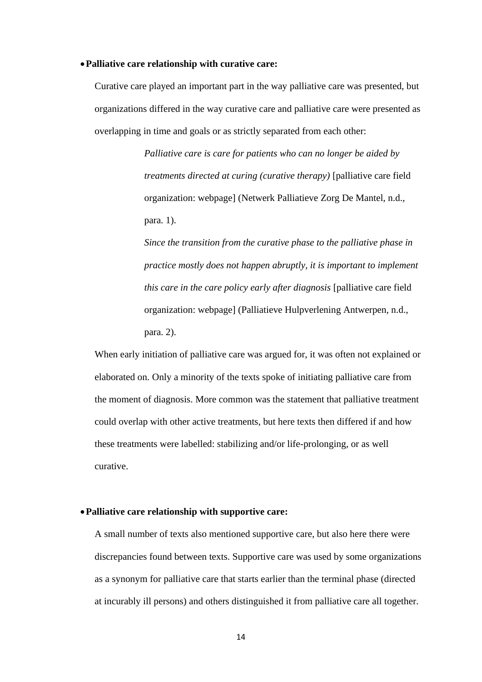#### •**Palliative care relationship with curative care:**

Curative care played an important part in the way palliative care was presented, but organizations differed in the way curative care and palliative care were presented as overlapping in time and goals or as strictly separated from each other:

> *Palliative care is care for patients who can no longer be aided by treatments directed at curing (curative therapy)* [palliative care field organization: webpage] (Netwerk Palliatieve Zorg De Mantel, n.d., para. 1).

*Since the transition from the curative phase to the palliative phase in practice mostly does not happen abruptly, it is important to implement this care in the care policy early after diagnosis* [palliative care field organization: webpage] (Palliatieve Hulpverlening Antwerpen, n.d., para. 2).

When early initiation of palliative care was argued for, it was often not explained or elaborated on. Only a minority of the texts spoke of initiating palliative care from the moment of diagnosis. More common was the statement that palliative treatment could overlap with other active treatments, but here texts then differed if and how these treatments were labelled: stabilizing and/or life-prolonging, or as well curative.

#### •**Palliative care relationship with supportive care:**

A small number of texts also mentioned supportive care, but also here there were discrepancies found between texts. Supportive care was used by some organizations as a synonym for palliative care that starts earlier than the terminal phase (directed at incurably ill persons) and others distinguished it from palliative care all together.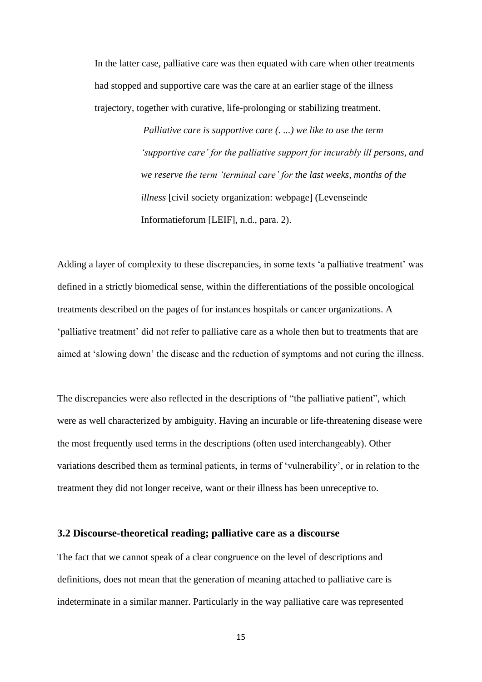In the latter case, palliative care was then equated with care when other treatments had stopped and supportive care was the care at an earlier stage of the illness trajectory, together with curative, life-prolonging or stabilizing treatment.

> *Palliative care is supportive care (. ...) we like to use the term 'supportive care' for the palliative support for incurably ill persons, and we reserve the term 'terminal care' for the last weeks, months of the illness* [civil society organization: webpage] (Levenseinde Informatieforum [LEIF], n.d., para. 2).

Adding a layer of complexity to these discrepancies, in some texts 'a palliative treatment' was defined in a strictly biomedical sense, within the differentiations of the possible oncological treatments described on the pages of for instances hospitals or cancer organizations. A 'palliative treatment' did not refer to palliative care as a whole then but to treatments that are aimed at 'slowing down' the disease and the reduction of symptoms and not curing the illness.

The discrepancies were also reflected in the descriptions of "the palliative patient", which were as well characterized by ambiguity. Having an incurable or life-threatening disease were the most frequently used terms in the descriptions (often used interchangeably). Other variations described them as terminal patients, in terms of 'vulnerability', or in relation to the treatment they did not longer receive, want or their illness has been unreceptive to.

#### **3.2 Discourse-theoretical reading; palliative care as a discourse**

The fact that we cannot speak of a clear congruence on the level of descriptions and definitions, does not mean that the generation of meaning attached to palliative care is indeterminate in a similar manner. Particularly in the way palliative care was represented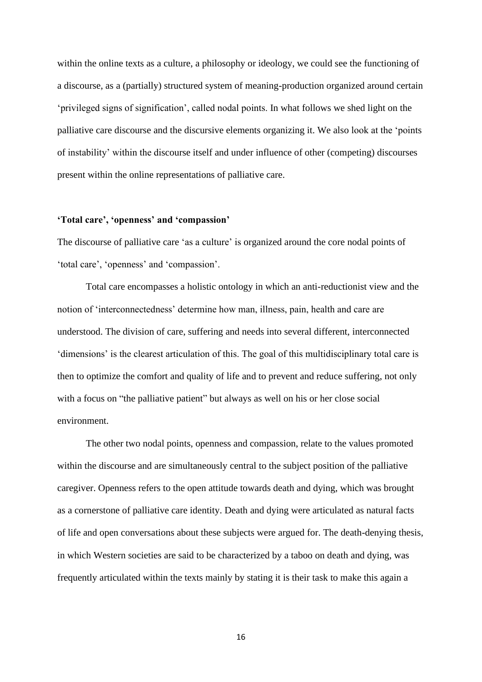within the online texts as a culture, a philosophy or ideology, we could see the functioning of a discourse, as a (partially) structured system of meaning-production organized around certain 'privileged signs of signification', called nodal points. In what follows we shed light on the palliative care discourse and the discursive elements organizing it. We also look at the 'points of instability' within the discourse itself and under influence of other (competing) discourses present within the online representations of palliative care.

#### **'Total care', 'openness' and 'compassion'**

The discourse of palliative care 'as a culture' is organized around the core nodal points of 'total care', 'openness' and 'compassion'.

Total care encompasses a holistic ontology in which an anti-reductionist view and the notion of 'interconnectedness' determine how man, illness, pain, health and care are understood. The division of care, suffering and needs into several different, interconnected 'dimensions' is the clearest articulation of this. The goal of this multidisciplinary total care is then to optimize the comfort and quality of life and to prevent and reduce suffering, not only with a focus on "the palliative patient" but always as well on his or her close social environment.

The other two nodal points, openness and compassion, relate to the values promoted within the discourse and are simultaneously central to the subject position of the palliative caregiver. Openness refers to the open attitude towards death and dying, which was brought as a cornerstone of palliative care identity. Death and dying were articulated as natural facts of life and open conversations about these subjects were argued for. The death-denying thesis, in which Western societies are said to be characterized by a taboo on death and dying, was frequently articulated within the texts mainly by stating it is their task to make this again a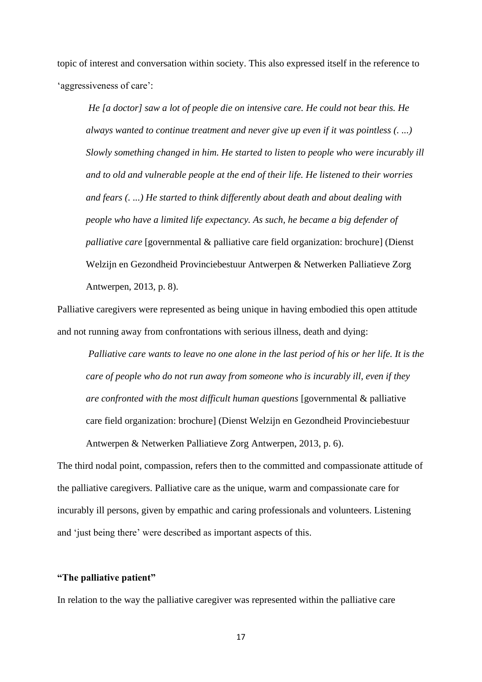topic of interest and conversation within society. This also expressed itself in the reference to 'aggressiveness of care':

*He [a doctor] saw a lot of people die on intensive care. He could not bear this. He always wanted to continue treatment and never give up even if it was pointless (. ...) Slowly something changed in him. He started to listen to people who were incurably ill and to old and vulnerable people at the end of their life. He listened to their worries and fears (. ...) He started to think differently about death and about dealing with people who have a limited life expectancy. As such, he became a big defender of palliative care* [governmental & palliative care field organization: brochure] (Dienst Welzijn en Gezondheid Provinciebestuur Antwerpen & Netwerken Palliatieve Zorg Antwerpen, 2013, p. 8).

Palliative caregivers were represented as being unique in having embodied this open attitude and not running away from confrontations with serious illness, death and dying:

*Palliative care wants to leave no one alone in the last period of his or her life. It is the care of people who do not run away from someone who is incurably ill, even if they are confronted with the most difficult human questions* [governmental & palliative care field organization: brochure] (Dienst Welzijn en Gezondheid Provinciebestuur Antwerpen & Netwerken Palliatieve Zorg Antwerpen, 2013, p. 6).

The third nodal point, compassion, refers then to the committed and compassionate attitude of the palliative caregivers. Palliative care as the unique, warm and compassionate care for incurably ill persons, given by empathic and caring professionals and volunteers. Listening and 'just being there' were described as important aspects of this.

#### **"The palliative patient"**

In relation to the way the palliative caregiver was represented within the palliative care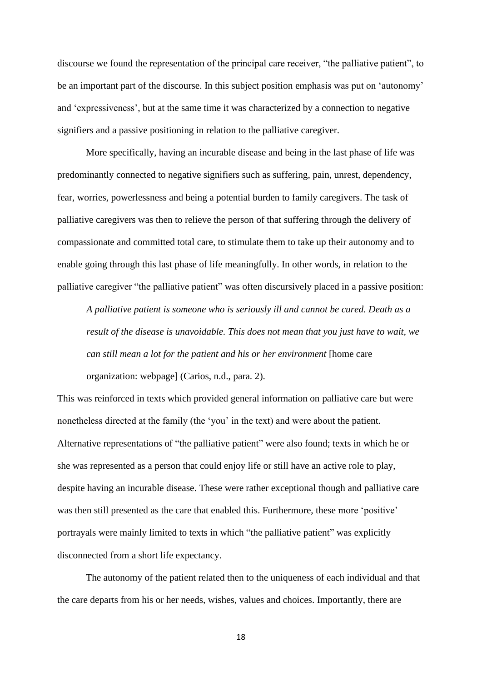discourse we found the representation of the principal care receiver, "the palliative patient", to be an important part of the discourse. In this subject position emphasis was put on 'autonomy' and 'expressiveness', but at the same time it was characterized by a connection to negative signifiers and a passive positioning in relation to the palliative caregiver.

More specifically, having an incurable disease and being in the last phase of life was predominantly connected to negative signifiers such as suffering, pain, unrest, dependency, fear, worries, powerlessness and being a potential burden to family caregivers. The task of palliative caregivers was then to relieve the person of that suffering through the delivery of compassionate and committed total care, to stimulate them to take up their autonomy and to enable going through this last phase of life meaningfully. In other words, in relation to the palliative caregiver "the palliative patient" was often discursively placed in a passive position:

*A palliative patient is someone who is seriously ill and cannot be cured. Death as a result of the disease is unavoidable. This does not mean that you just have to wait, we can still mean a lot for the patient and his or her environment* [home care organization: webpage] (Carios, n.d., para. 2).

This was reinforced in texts which provided general information on palliative care but were nonetheless directed at the family (the 'you' in the text) and were about the patient. Alternative representations of "the palliative patient" were also found; texts in which he or she was represented as a person that could enjoy life or still have an active role to play, despite having an incurable disease. These were rather exceptional though and palliative care was then still presented as the care that enabled this. Furthermore, these more 'positive' portrayals were mainly limited to texts in which "the palliative patient" was explicitly disconnected from a short life expectancy.

The autonomy of the patient related then to the uniqueness of each individual and that the care departs from his or her needs, wishes, values and choices. Importantly, there are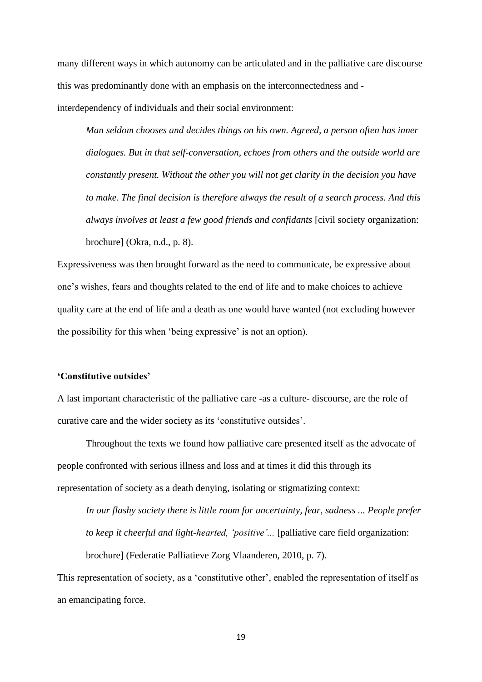many different ways in which autonomy can be articulated and in the palliative care discourse this was predominantly done with an emphasis on the interconnectedness and interdependency of individuals and their social environment:

*Man seldom chooses and decides things on his own. Agreed, a person often has inner dialogues. But in that self-conversation, echoes from others and the outside world are constantly present. Without the other you will not get clarity in the decision you have to make. The final decision is therefore always the result of a search process. And this always involves at least a few good friends and confidants* [civil society organization: brochure] (Okra, n.d., p. 8).

Expressiveness was then brought forward as the need to communicate, be expressive about one's wishes, fears and thoughts related to the end of life and to make choices to achieve quality care at the end of life and a death as one would have wanted (not excluding however the possibility for this when 'being expressive' is not an option).

# **'Constitutive outsides'**

A last important characteristic of the palliative care -as a culture- discourse, are the role of curative care and the wider society as its 'constitutive outsides'.

Throughout the texts we found how palliative care presented itself as the advocate of people confronted with serious illness and loss and at times it did this through its representation of society as a death denying, isolating or stigmatizing context:

*In our flashy society there is little room for uncertainty, fear, sadness ... People prefer to keep it cheerful and light-hearted, 'positive'...* [palliative care field organization: brochure] (Federatie Palliatieve Zorg Vlaanderen, 2010, p. 7).

This representation of society, as a 'constitutive other', enabled the representation of itself as an emancipating force.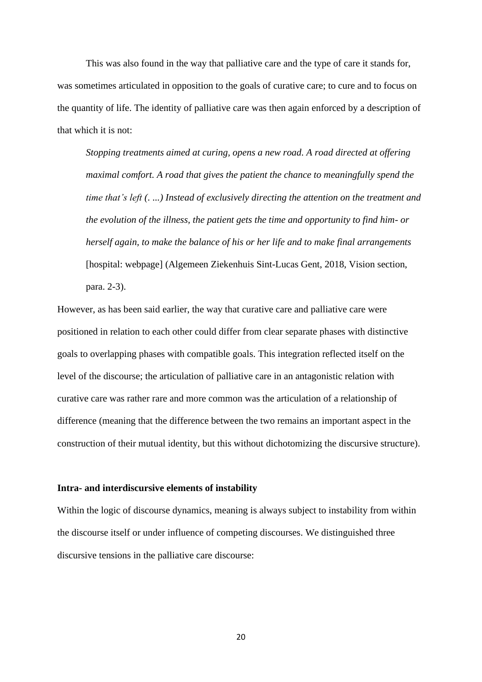This was also found in the way that palliative care and the type of care it stands for, was sometimes articulated in opposition to the goals of curative care; to cure and to focus on the quantity of life. The identity of palliative care was then again enforced by a description of that which it is not:

*Stopping treatments aimed at curing, opens a new road. A road directed at offering maximal comfort. A road that gives the patient the chance to meaningfully spend the time that's left (. ...) Instead of exclusively directing the attention on the treatment and the evolution of the illness, the patient gets the time and opportunity to find him- or herself again, to make the balance of his or her life and to make final arrangements* [hospital: webpage] (Algemeen Ziekenhuis Sint-Lucas Gent, 2018, Vision section, para. 2-3).

However, as has been said earlier, the way that curative care and palliative care were positioned in relation to each other could differ from clear separate phases with distinctive goals to overlapping phases with compatible goals. This integration reflected itself on the level of the discourse; the articulation of palliative care in an antagonistic relation with curative care was rather rare and more common was the articulation of a relationship of difference (meaning that the difference between the two remains an important aspect in the construction of their mutual identity, but this without dichotomizing the discursive structure).

#### **Intra- and interdiscursive elements of instability**

Within the logic of discourse dynamics, meaning is always subject to instability from within the discourse itself or under influence of competing discourses. We distinguished three discursive tensions in the palliative care discourse: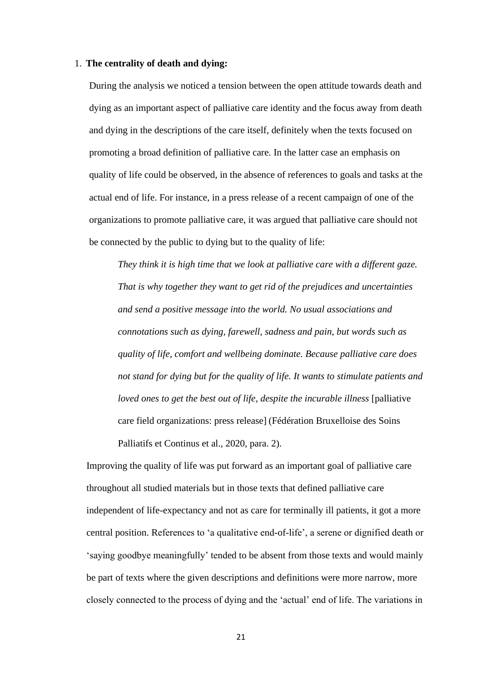#### 1. **The centrality of death and dying:**

During the analysis we noticed a tension between the open attitude towards death and dying as an important aspect of palliative care identity and the focus away from death and dying in the descriptions of the care itself, definitely when the texts focused on promoting a broad definition of palliative care. In the latter case an emphasis on quality of life could be observed, in the absence of references to goals and tasks at the actual end of life. For instance, in a press release of a recent campaign of one of the organizations to promote palliative care, it was argued that palliative care should not be connected by the public to dying but to the quality of life:

*They think it is high time that we look at palliative care with a different gaze. That is why together they want to get rid of the prejudices and uncertainties and send a positive message into the world. No usual associations and connotations such as dying, farewell, sadness and pain, but words such as quality of life, comfort and wellbeing dominate. Because palliative care does not stand for dying but for the quality of life. It wants to stimulate patients and loved ones to get the best out of life, despite the incurable illness* [palliative care field organizations: press release] (Fédération Bruxelloise des Soins Palliatifs et Continus et al., 2020, para. 2).

Improving the quality of life was put forward as an important goal of palliative care throughout all studied materials but in those texts that defined palliative care independent of life-expectancy and not as care for terminally ill patients, it got a more central position. References to 'a qualitative end-of-life', a serene or dignified death or 'saying goodbye meaningfully' tended to be absent from those texts and would mainly be part of texts where the given descriptions and definitions were more narrow, more closely connected to the process of dying and the 'actual' end of life. The variations in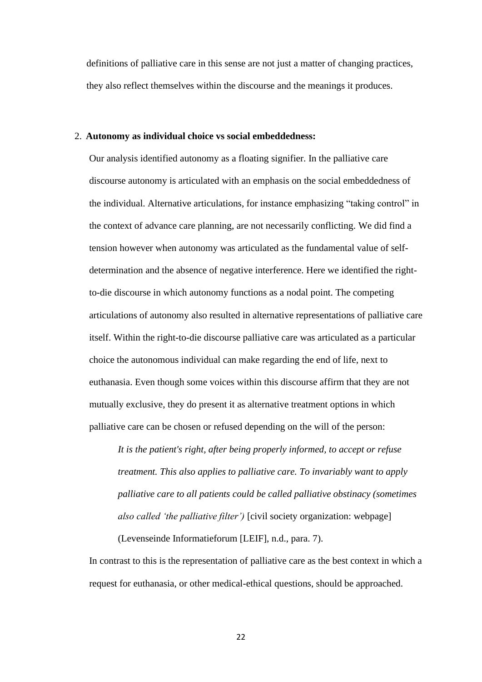definitions of palliative care in this sense are not just a matter of changing practices, they also reflect themselves within the discourse and the meanings it produces.

#### 2. **Autonomy as individual choice vs social embeddedness:**

Our analysis identified autonomy as a floating signifier. In the palliative care discourse autonomy is articulated with an emphasis on the social embeddedness of the individual. Alternative articulations, for instance emphasizing "taking control" in the context of advance care planning, are not necessarily conflicting. We did find a tension however when autonomy was articulated as the fundamental value of selfdetermination and the absence of negative interference. Here we identified the rightto-die discourse in which autonomy functions as a nodal point. The competing articulations of autonomy also resulted in alternative representations of palliative care itself. Within the right-to-die discourse palliative care was articulated as a particular choice the autonomous individual can make regarding the end of life, next to euthanasia. Even though some voices within this discourse affirm that they are not mutually exclusive, they do present it as alternative treatment options in which palliative care can be chosen or refused depending on the will of the person:

*It is the patient's right, after being properly informed, to accept or refuse treatment. This also applies to palliative care. To invariably want to apply palliative care to all patients could be called palliative obstinacy (sometimes also called 'the palliative filter')* [civil society organization: webpage] (Levenseinde Informatieforum [LEIF], n.d., para. 7).

In contrast to this is the representation of palliative care as the best context in which a request for euthanasia, or other medical-ethical questions, should be approached.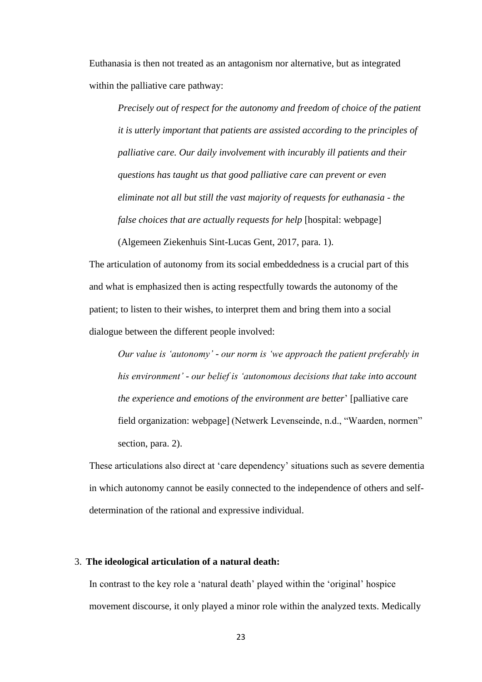Euthanasia is then not treated as an antagonism nor alternative, but as integrated within the palliative care pathway:

*Precisely out of respect for the autonomy and freedom of choice of the patient it is utterly important that patients are assisted according to the principles of palliative care. Our daily involvement with incurably ill patients and their questions has taught us that good palliative care can prevent or even eliminate not all but still the vast majority of requests for euthanasia - the false choices that are actually requests for help* [hospital: webpage]

(Algemeen Ziekenhuis Sint-Lucas Gent, 2017, para. 1).

The articulation of autonomy from its social embeddedness is a crucial part of this and what is emphasized then is acting respectfully towards the autonomy of the patient; to listen to their wishes, to interpret them and bring them into a social dialogue between the different people involved:

*Our value is 'autonomy' - our norm is 'we approach the patient preferably in his environment' - our belief is 'autonomous decisions that take into account the experience and emotions of the environment are better*' [palliative care field organization: webpage] (Netwerk Levenseinde, n.d., "Waarden, normen" section, para. 2).

These articulations also direct at 'care dependency' situations such as severe dementia in which autonomy cannot be easily connected to the independence of others and selfdetermination of the rational and expressive individual.

### 3. **The ideological articulation of a natural death:**

In contrast to the key role a 'natural death' played within the 'original' hospice movement discourse, it only played a minor role within the analyzed texts. Medically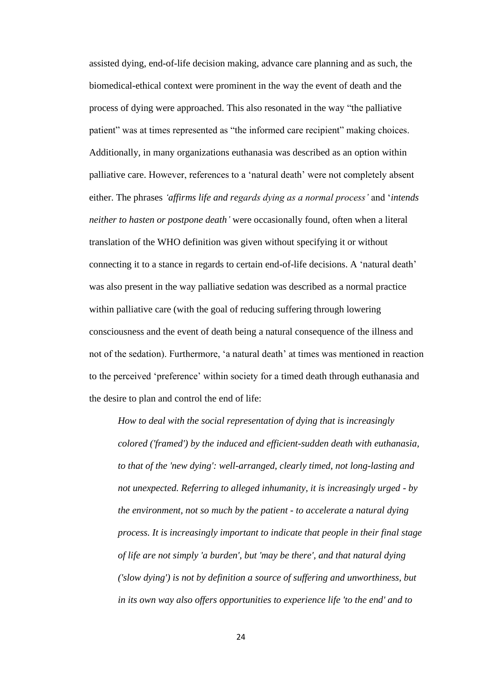assisted dying, end-of-life decision making, advance care planning and as such, the biomedical-ethical context were prominent in the way the event of death and the process of dying were approached. This also resonated in the way "the palliative patient" was at times represented as "the informed care recipient" making choices. Additionally, in many organizations euthanasia was described as an option within palliative care. However, references to a 'natural death' were not completely absent either. The phrases *'affirms life and regards dying as a normal process'* and '*intends neither to hasten or postpone death'* were occasionally found, often when a literal translation of the WHO definition was given without specifying it or without connecting it to a stance in regards to certain end-of-life decisions. A 'natural death' was also present in the way palliative sedation was described as a normal practice within palliative care (with the goal of reducing suffering through lowering consciousness and the event of death being a natural consequence of the illness and not of the sedation). Furthermore, 'a natural death' at times was mentioned in reaction to the perceived 'preference' within society for a timed death through euthanasia and the desire to plan and control the end of life:

*How to deal with the social representation of dying that is increasingly colored ('framed') by the induced and efficient-sudden death with euthanasia, to that of the 'new dying': well-arranged, clearly timed, not long-lasting and not unexpected. Referring to alleged inhumanity, it is increasingly urged - by the environment, not so much by the patient - to accelerate a natural dying process. It is increasingly important to indicate that people in their final stage of life are not simply 'a burden', but 'may be there', and that natural dying ('slow dying') is not by definition a source of suffering and unworthiness, but in its own way also offers opportunities to experience life 'to the end' and to*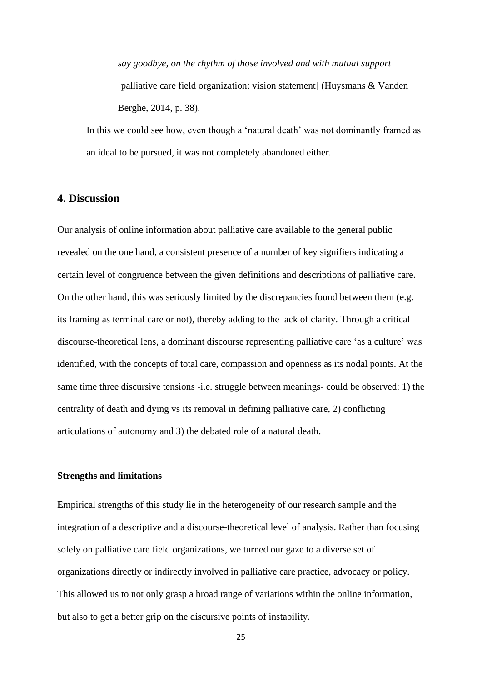*say goodbye, on the rhythm of those involved and with mutual support* [palliative care field organization: vision statement] (Huysmans & Vanden Berghe, 2014, p. 38).

In this we could see how, even though a 'natural death' was not dominantly framed as an ideal to be pursued, it was not completely abandoned either.

# **4. Discussion**

Our analysis of online information about palliative care available to the general public revealed on the one hand, a consistent presence of a number of key signifiers indicating a certain level of congruence between the given definitions and descriptions of palliative care. On the other hand, this was seriously limited by the discrepancies found between them (e.g. its framing as terminal care or not), thereby adding to the lack of clarity. Through a critical discourse-theoretical lens, a dominant discourse representing palliative care 'as a culture' was identified, with the concepts of total care, compassion and openness as its nodal points. At the same time three discursive tensions -i.e. struggle between meanings- could be observed: 1) the centrality of death and dying vs its removal in defining palliative care, 2) conflicting articulations of autonomy and 3) the debated role of a natural death.

# **Strengths and limitations**

Empirical strengths of this study lie in the heterogeneity of our research sample and the integration of a descriptive and a discourse-theoretical level of analysis. Rather than focusing solely on palliative care field organizations, we turned our gaze to a diverse set of organizations directly or indirectly involved in palliative care practice, advocacy or policy. This allowed us to not only grasp a broad range of variations within the online information, but also to get a better grip on the discursive points of instability.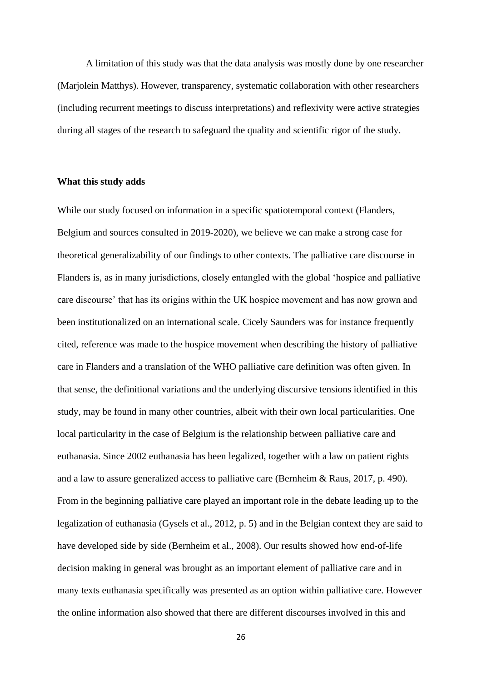A limitation of this study was that the data analysis was mostly done by one researcher (Marjolein Matthys). However, transparency, systematic collaboration with other researchers (including recurrent meetings to discuss interpretations) and reflexivity were active strategies during all stages of the research to safeguard the quality and scientific rigor of the study.

#### **What this study adds**

While our study focused on information in a specific spatiotemporal context (Flanders, Belgium and sources consulted in 2019-2020), we believe we can make a strong case for theoretical generalizability of our findings to other contexts. The palliative care discourse in Flanders is, as in many jurisdictions, closely entangled with the global 'hospice and palliative care discourse' that has its origins within the UK hospice movement and has now grown and been institutionalized on an international scale. Cicely Saunders was for instance frequently cited, reference was made to the hospice movement when describing the history of palliative care in Flanders and a translation of the WHO palliative care definition was often given. In that sense, the definitional variations and the underlying discursive tensions identified in this study, may be found in many other countries, albeit with their own local particularities. One local particularity in the case of Belgium is the relationship between palliative care and euthanasia. Since 2002 euthanasia has been legalized, together with a law on patient rights and a law to assure generalized access to palliative care (Bernheim & Raus, 2017, p. 490). From in the beginning palliative care played an important role in the debate leading up to the legalization of euthanasia (Gysels et al., 2012, p. 5) and in the Belgian context they are said to have developed side by side (Bernheim et al., 2008). Our results showed how end-of-life decision making in general was brought as an important element of palliative care and in many texts euthanasia specifically was presented as an option within palliative care. However the online information also showed that there are different discourses involved in this and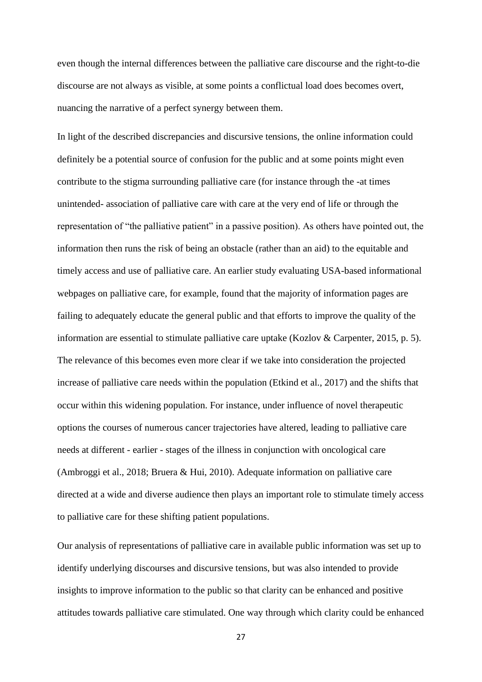even though the internal differences between the palliative care discourse and the right-to-die discourse are not always as visible, at some points a conflictual load does becomes overt, nuancing the narrative of a perfect synergy between them.

In light of the described discrepancies and discursive tensions, the online information could definitely be a potential source of confusion for the public and at some points might even contribute to the stigma surrounding palliative care (for instance through the -at times unintended- association of palliative care with care at the very end of life or through the representation of "the palliative patient" in a passive position). As others have pointed out, the information then runs the risk of being an obstacle (rather than an aid) to the equitable and timely access and use of palliative care. An earlier study evaluating USA-based informational webpages on palliative care, for example, found that the majority of information pages are failing to adequately educate the general public and that efforts to improve the quality of the information are essential to stimulate palliative care uptake (Kozlov & Carpenter, 2015, p. 5). The relevance of this becomes even more clear if we take into consideration the projected increase of palliative care needs within the population (Etkind et al., 2017) and the shifts that occur within this widening population. For instance, under influence of novel therapeutic options the courses of numerous cancer trajectories have altered, leading to palliative care needs at different - earlier - stages of the illness in conjunction with oncological care (Ambroggi et al., 2018; Bruera & Hui, 2010). Adequate information on palliative care directed at a wide and diverse audience then plays an important role to stimulate timely access to palliative care for these shifting patient populations.

Our analysis of representations of palliative care in available public information was set up to identify underlying discourses and discursive tensions, but was also intended to provide insights to improve information to the public so that clarity can be enhanced and positive attitudes towards palliative care stimulated. One way through which clarity could be enhanced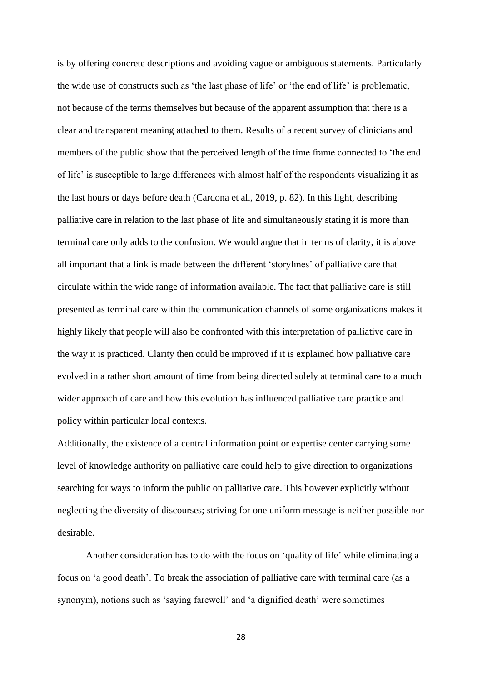is by offering concrete descriptions and avoiding vague or ambiguous statements. Particularly the wide use of constructs such as 'the last phase of life' or 'the end of life' is problematic, not because of the terms themselves but because of the apparent assumption that there is a clear and transparent meaning attached to them. Results of a recent survey of clinicians and members of the public show that the perceived length of the time frame connected to 'the end of life' is susceptible to large differences with almost half of the respondents visualizing it as the last hours or days before death (Cardona et al., 2019, p. 82). In this light, describing palliative care in relation to the last phase of life and simultaneously stating it is more than terminal care only adds to the confusion. We would argue that in terms of clarity, it is above all important that a link is made between the different 'storylines' of palliative care that circulate within the wide range of information available. The fact that palliative care is still presented as terminal care within the communication channels of some organizations makes it highly likely that people will also be confronted with this interpretation of palliative care in the way it is practiced. Clarity then could be improved if it is explained how palliative care evolved in a rather short amount of time from being directed solely at terminal care to a much wider approach of care and how this evolution has influenced palliative care practice and policy within particular local contexts.

Additionally, the existence of a central information point or expertise center carrying some level of knowledge authority on palliative care could help to give direction to organizations searching for ways to inform the public on palliative care. This however explicitly without neglecting the diversity of discourses; striving for one uniform message is neither possible nor desirable.

Another consideration has to do with the focus on 'quality of life' while eliminating a focus on 'a good death'. To break the association of palliative care with terminal care (as a synonym), notions such as 'saying farewell' and 'a dignified death' were sometimes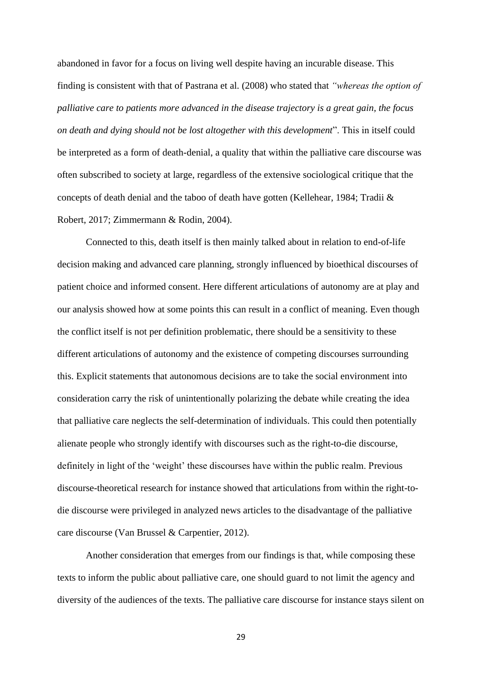abandoned in favor for a focus on living well despite having an incurable disease. This finding is consistent with that of Pastrana et al. (2008) who stated that *"whereas the option of palliative care to patients more advanced in the disease trajectory is a great gain, the focus on death and dying should not be lost altogether with this development*". This in itself could be interpreted as a form of death-denial, a quality that within the palliative care discourse was often subscribed to society at large, regardless of the extensive sociological critique that the concepts of death denial and the taboo of death have gotten (Kellehear, 1984; Tradii & Robert, 2017; Zimmermann & Rodin, 2004).

Connected to this, death itself is then mainly talked about in relation to end-of-life decision making and advanced care planning, strongly influenced by bioethical discourses of patient choice and informed consent. Here different articulations of autonomy are at play and our analysis showed how at some points this can result in a conflict of meaning. Even though the conflict itself is not per definition problematic, there should be a sensitivity to these different articulations of autonomy and the existence of competing discourses surrounding this. Explicit statements that autonomous decisions are to take the social environment into consideration carry the risk of unintentionally polarizing the debate while creating the idea that palliative care neglects the self-determination of individuals. This could then potentially alienate people who strongly identify with discourses such as the right-to-die discourse, definitely in light of the 'weight' these discourses have within the public realm. Previous discourse-theoretical research for instance showed that articulations from within the right-todie discourse were privileged in analyzed news articles to the disadvantage of the palliative care discourse (Van Brussel & Carpentier, 2012).

Another consideration that emerges from our findings is that, while composing these texts to inform the public about palliative care, one should guard to not limit the agency and diversity of the audiences of the texts. The palliative care discourse for instance stays silent on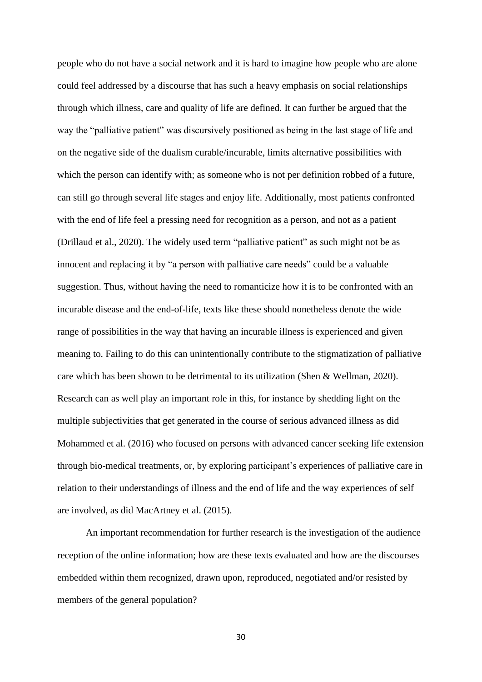people who do not have a social network and it is hard to imagine how people who are alone could feel addressed by a discourse that has such a heavy emphasis on social relationships through which illness, care and quality of life are defined. It can further be argued that the way the "palliative patient" was discursively positioned as being in the last stage of life and on the negative side of the dualism curable/incurable, limits alternative possibilities with which the person can identify with; as someone who is not per definition robbed of a future, can still go through several life stages and enjoy life. Additionally, most patients confronted with the end of life feel a pressing need for recognition as a person, and not as a patient (Drillaud et al., 2020). The widely used term "palliative patient" as such might not be as innocent and replacing it by "a person with palliative care needs" could be a valuable suggestion. Thus, without having the need to romanticize how it is to be confronted with an incurable disease and the end-of-life, texts like these should nonetheless denote the wide range of possibilities in the way that having an incurable illness is experienced and given meaning to. Failing to do this can unintentionally contribute to the stigmatization of palliative care which has been shown to be detrimental to its utilization (Shen & Wellman, 2020). Research can as well play an important role in this, for instance by shedding light on the multiple subjectivities that get generated in the course of serious advanced illness as did Mohammed et al. (2016) who focused on persons with advanced cancer seeking life extension through bio-medical treatments, or, by exploring participant's experiences of palliative care in relation to their understandings of illness and the end of life and the way experiences of self are involved, as did MacArtney et al. (2015).

An important recommendation for further research is the investigation of the audience reception of the online information; how are these texts evaluated and how are the discourses embedded within them recognized, drawn upon, reproduced, negotiated and/or resisted by members of the general population?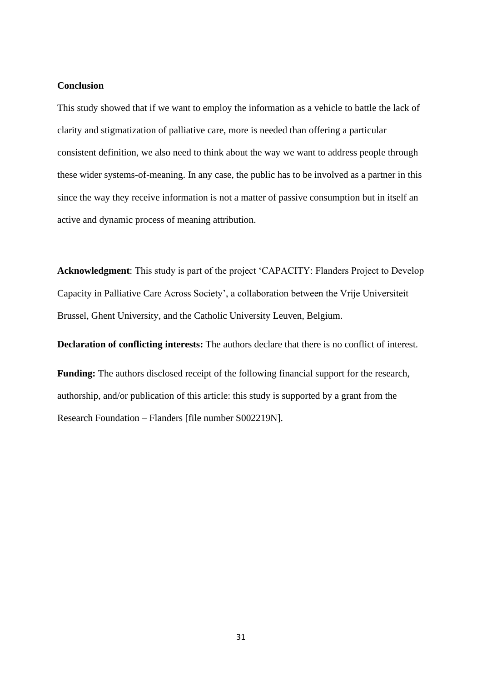## **Conclusion**

This study showed that if we want to employ the information as a vehicle to battle the lack of clarity and stigmatization of palliative care, more is needed than offering a particular consistent definition, we also need to think about the way we want to address people through these wider systems-of-meaning. In any case, the public has to be involved as a partner in this since the way they receive information is not a matter of passive consumption but in itself an active and dynamic process of meaning attribution.

**Acknowledgment**: This study is part of the project 'CAPACITY: Flanders Project to Develop Capacity in Palliative Care Across Society', a collaboration between the Vrije Universiteit Brussel, Ghent University, and the Catholic University Leuven, Belgium.

**Declaration of conflicting interests:** The authors declare that there is no conflict of interest.

**Funding:** The authors disclosed receipt of the following financial support for the research, authorship, and/or publication of this article: this study is supported by a grant from the Research Foundation – Flanders [file number S002219N].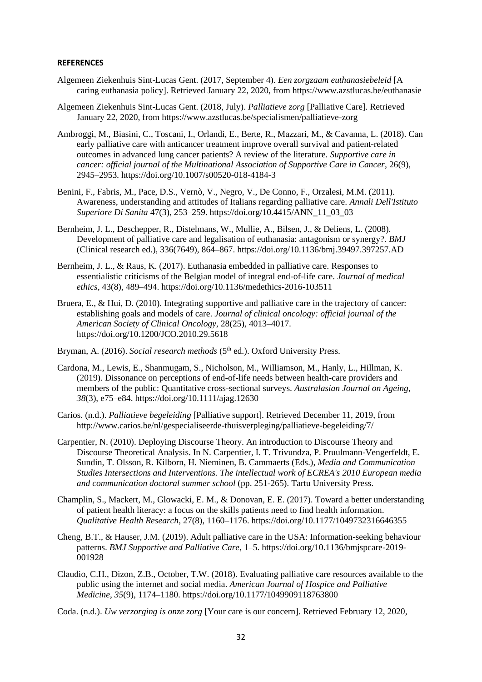#### **REFERENCES**

- Algemeen Ziekenhuis Sint-Lucas Gent. (2017, September 4). *Een zorgzaam euthanasiebeleid* [A caring euthanasia policy]. Retrieved January 22, 2020, from https://www.azstlucas.be/euthanasie
- Algemeen Ziekenhuis Sint-Lucas Gent. (2018, July). *Palliatieve zorg* [Palliative Care]. Retrieved January 22, 2020, from https://www.azstlucas.be/specialismen/palliatieve-zorg
- Ambroggi, M., Biasini, C., Toscani, I., Orlandi, E., Berte, R., Mazzari, M., & Cavanna, L. (2018). Can early palliative care with anticancer treatment improve overall survival and patient-related outcomes in advanced lung cancer patients? A review of the literature. *Supportive care in cancer: official journal of the Multinational Association of Supportive Care in Cancer*, 26(9), 2945–2953. https://doi.org/10.1007/s00520-018-4184-3
- Benini, F., Fabris, M., Pace, D.S., Vernò, V., Negro, V., De Conno, F., Orzalesi, M.M. (2011). Awareness, understanding and attitudes of Italians regarding palliative care. *Annali Dell'Istituto Superiore Di Sanita* 47(3), 253–259. https://doi.org/10.4415/ANN\_11\_03\_03
- Bernheim, J. L., Deschepper, R., Distelmans, W., Mullie, A., Bilsen, J., & Deliens, L. (2008). Development of palliative care and legalisation of euthanasia: antagonism or synergy?. *BMJ*  (Clinical research ed.), 336(7649), 864–867. https://doi.org/10.1136/bmj.39497.397257.AD
- Bernheim, J. L., & Raus, K. (2017). Euthanasia embedded in palliative care. Responses to essentialistic criticisms of the Belgian model of integral end-of-life care. *Journal of medical ethics*, 43(8), 489–494. https://doi.org/10.1136/medethics-2016-103511
- Bruera, E., & Hui, D. (2010). Integrating supportive and palliative care in the trajectory of cancer: establishing goals and models of care. *Journal of clinical oncology: official journal of the American Society of Clinical Oncology*, 28(25), 4013–4017. https://doi.org/10.1200/JCO.2010.29.5618
- Bryman, A. (2016). *Social research methods* (5<sup>th</sup> ed.). Oxford University Press.
- Cardona, M., Lewis, E., Shanmugam, S., Nicholson, M., Williamson, M., Hanly, L., Hillman, K. (2019). Dissonance on perceptions of end-of-life needs between health-care providers and members of the public: Quantitative cross-sectional surveys. *Australasian Journal on Ageing*, *38*(3), e75–e84. https://doi.org/10.1111/ajag.12630
- Carios. (n.d.). *Palliatieve begeleiding* [Palliative support]. Retrieved December 11, 2019, from http://www.carios.be/nl/gespecialiseerde-thuisverpleging/palliatieve-begeleiding/7/
- Carpentier, N. (2010). Deploying Discourse Theory. An introduction to Discourse Theory and Discourse Theoretical Analysis. In N. Carpentier, I. T. Trivundza, P. Pruulmann-Vengerfeldt, E. Sundin, T. Olsson, R. Kilborn, H. Nieminen, B. Cammaerts (Eds.), *Media and Communication Studies Intersections and Interventions. The intellectual work of ECREA's 2010 European media and communication doctoral summer school* (pp. 251-265). Tartu University Press.
- Champlin, S., Mackert, M., Glowacki, E. M., & Donovan, E. E. (2017). Toward a better understanding of patient health literacy: a focus on the skills patients need to find health information. *Qualitative Health Research*, 27(8), 1160–1176. https://doi.org/10.1177/1049732316646355
- Cheng, B.T., & Hauser, J.M. (2019). Adult palliative care in the USA: Information-seeking behaviour patterns. *BMJ Supportive and Palliative Care*, 1–5. https://doi.org/10.1136/bmjspcare-2019- 001928
- Claudio, C.H., Dizon, Z.B., October, T.W. (2018). Evaluating palliative care resources available to the public using the internet and social media. *American Journal of Hospice and Palliative Medicine*, *35*(9), 1174–1180. https://doi.org/10.1177/1049909118763800
- Coda. (n.d.). *Uw verzorging is onze zorg* [Your care is our concern]. Retrieved February 12, 2020,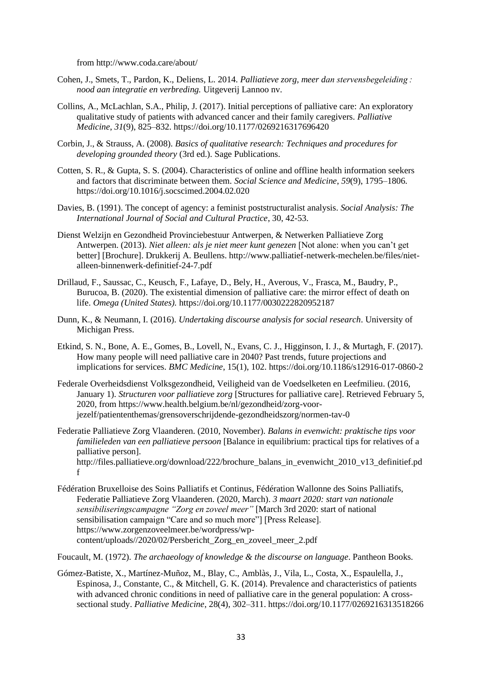from http://www.coda.care/about/

- Cohen, J., Smets, T., Pardon, K., Deliens, L. 2014. *Palliatieve zorg, meer dan stervensbegeleiding : nood aan integratie en verbreding.* Uitgeverij Lannoo nv.
- Collins, A., McLachlan, S.A., Philip, J. (2017). Initial perceptions of palliative care: An exploratory qualitative study of patients with advanced cancer and their family caregivers. *Palliative Medicine*, *31*(9), 825–832. https://doi.org/10.1177/0269216317696420
- Corbin, J., & Strauss, A. (2008). *Basics of qualitative research: Techniques and procedures for developing grounded theory* (3rd ed.). Sage Publications.
- Cotten, S. R., & Gupta, S. S. (2004). Characteristics of online and offline health information seekers and factors that discriminate between them. *Social Science and Medicine*, *59*(9), 1795–1806. https://doi.org/10.1016/j.socscimed.2004.02.020
- Davies, B. (1991). The concept of agency: a feminist poststructuralist analysis. *Social Analysis: The International Journal of Social and Cultural Practice*, 30, 42-53.
- Dienst Welzijn en Gezondheid Provinciebestuur Antwerpen, & Netwerken Palliatieve Zorg Antwerpen. (2013). *Niet alleen: als je niet meer kunt genezen* [Not alone: when you can't get better] [Brochure]. Drukkerij A. Beullens. http://www.palliatief-netwerk-mechelen.be/files/nietalleen-binnenwerk-definitief-24-7.pdf
- Drillaud, F., Saussac, C., Keusch, F., Lafaye, D., Bely, H., Averous, V., Frasca, M., Baudry, P., Burucoa, B. (2020). The existential dimension of palliative care: the mirror effect of death on life. *Omega (United States).* https://doi.org/10.1177/0030222820952187
- Dunn, K., & Neumann, I. (2016). *Undertaking discourse analysis for social research*. University of Michigan Press.
- Etkind, S. N., Bone, A. E., Gomes, B., Lovell, N., Evans, C. J., Higginson, I. J., & Murtagh, F. (2017). How many people will need palliative care in 2040? Past trends, future projections and implications for services. *BMC Medicine*, 15(1), 102. https://doi.org/10.1186/s12916-017-0860-2
- Federale Overheidsdienst Volksgezondheid, Veiligheid van de Voedselketen en Leefmilieu. (2016, January 1). *Structuren voor palliatieve zorg* [Structures for palliative care]. Retrieved February 5, 2020, from https://www.health.belgium.be/nl/gezondheid/zorg-voorjezelf/patiententhemas/grensoverschrijdende-gezondheidszorg/normen-tav-0
- Federatie Palliatieve Zorg Vlaanderen. (2010, November). *Balans in evenwicht: praktische tips voor familieleden van een palliatieve persoon* [Balance in equilibrium: practical tips for relatives of a palliative person]. http://files.palliatieve.org/download/222/brochure\_balans\_in\_evenwicht\_2010\_v13\_definitief.pd f
- Fédération Bruxelloise des Soins Palliatifs et Continus, Fédération Wallonne des Soins Palliatifs, Federatie Palliatieve Zorg Vlaanderen. (2020, March). *3 maart 2020: start van nationale sensibiliseringscampagne "Zorg en zoveel meer"* [March 3rd 2020: start of national sensibilisation campaign "Care and so much more"] [Press Release]. https://www.zorgenzoveelmeer.be/wordpress/wpcontent/uploads//2020/02/Persbericht\_Zorg\_en\_zoveel\_meer\_2.pdf

Foucault, M. (1972). *The archaeology of knowledge & the discourse on language*. Pantheon Books.

Gómez-Batiste, X., Martínez-Muñoz, M., Blay, C., Amblàs, J., Vila, L., Costa, X., Espaulella, J., Espinosa, J., Constante, C., & Mitchell, G. K. (2014). Prevalence and characteristics of patients with advanced chronic conditions in need of palliative care in the general population: A crosssectional study. *Palliative Medicine*, 28(4), 302–311. https://doi.org/10.1177/0269216313518266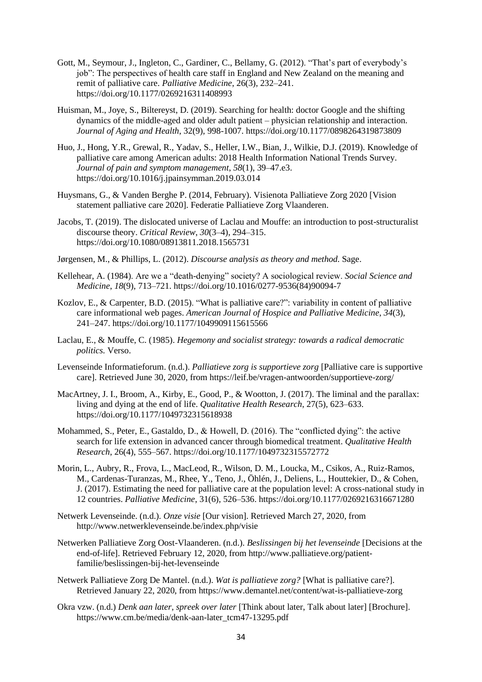- Gott, M., Seymour, J., Ingleton, C., Gardiner, C., Bellamy, G. (2012). "That's part of everybody's job": The perspectives of health care staff in England and New Zealand on the meaning and remit of palliative care. *Palliative Medicine*, 26(3), 232–241. https://doi.org/10.1177/0269216311408993
- Huisman, M., Joye, S., Biltereyst, D. (2019). Searching for health: doctor Google and the shifting dynamics of the middle-aged and older adult patient – physician relationship and interaction. *Journal of Aging and Health*, 32(9), 998-1007. https://doi.org/10.1177/0898264319873809
- Huo, J., Hong, Y.R., Grewal, R., Yadav, S., Heller, I.W., Bian, J., Wilkie, D.J. (2019). Knowledge of palliative care among American adults: 2018 Health Information National Trends Survey*. Journal of pain and symptom management*, *58*(1), 39–47.e3. https://doi.org/10.1016/j.jpainsymman.2019.03.014
- Huysmans, G., & Vanden Berghe P. (2014, February). Visienota Palliatieve Zorg 2020 [Vision statement palliative care 2020]. Federatie Palliatieve Zorg Vlaanderen.
- Jacobs, T. (2019). The dislocated universe of Laclau and Mouffe: an introduction to post-structuralist discourse theory. *Critical Review*, *30*(3–4), 294–315. https://doi.org/10.1080/08913811.2018.1565731
- Jørgensen, M., & Phillips, L. (2012). *Discourse analysis as theory and method.* Sage.
- Kellehear, A. (1984). Are we a "death-denying" society? A sociological review. *Social Science and Medicine*, *18*(9), 713–721. https://doi.org/10.1016/0277-9536(84)90094-7
- Kozlov, E., & Carpenter, B.D. (2015). "What is palliative care?": variability in content of palliative care informational web pages. *American Journal of Hospice and Palliative Medicine*, *34*(3), 241–247. https://doi.org/10.1177/1049909115615566
- Laclau, E., & Mouffe, C. (1985). *Hegemony and socialist strategy: towards a radical democratic politics.* Verso.
- Levenseinde Informatieforum. (n.d.). *Palliatieve zorg is supportieve zorg* [Palliative care is supportive care]. Retrieved June 30, 2020, from https://leif.be/vragen-antwoorden/supportieve-zorg/
- MacArtney, J. I., Broom, A., Kirby, E., Good, P., & Wootton, J. (2017). The liminal and the parallax: living and dying at the end of life. *Qualitative Health Research*, 27(5), 623–633. https://doi.org/10.1177/1049732315618938
- Mohammed, S., Peter, E., Gastaldo, D., & Howell, D. (2016). The "conflicted dying": the active search for life extension in advanced cancer through biomedical treatment. *Qualitative Health Research*, 26(4), 555–567. https://doi.org/10.1177/1049732315572772
- Morin, L., Aubry, R., Frova, L., MacLeod, R., Wilson, D. M., Loucka, M., Csikos, A., Ruiz-Ramos, M., Cardenas-Turanzas, M., Rhee, Y., Teno, J., Öhlén, J., Deliens, L., Houttekier, D., & Cohen, J. (2017). Estimating the need for palliative care at the population level: A cross-national study in 12 countries. *Palliative Medicine*, 31(6), 526–536. https://doi.org/10.1177/0269216316671280
- Netwerk Levenseinde. (n.d.). *Onze visie* [Our vision]. Retrieved March 27, 2020, from http://www.netwerklevenseinde.be/index.php/visie
- Netwerken Palliatieve Zorg Oost-Vlaanderen. (n.d.). *Beslissingen bij het levenseinde* [Decisions at the end-of-life]. Retrieved February 12, 2020, from http://www.palliatieve.org/patientfamilie/beslissingen-bij-het-levenseinde
- Netwerk Palliatieve Zorg De Mantel. (n.d.). *Wat is palliatieve zorg?* [What is palliative care?]. Retrieved January 22, 2020, from https://www.demantel.net/content/wat-is-palliatieve-zorg
- Okra vzw. (n.d.) *Denk aan later, spreek over later* [Think about later, Talk about later] [Brochure]. https://www.cm.be/media/denk-aan-later\_tcm47-13295.pdf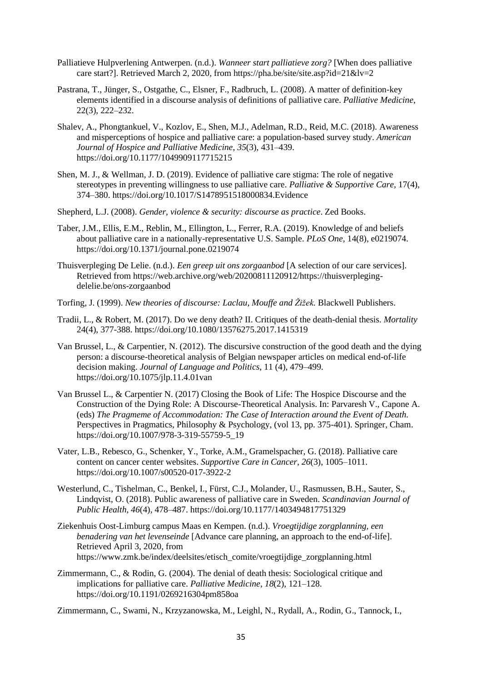- Palliatieve Hulpverlening Antwerpen. (n.d.). *Wanneer start palliatieve zorg?* [When does palliative care start?]. Retrieved March 2, 2020, from https://pha.be/site/site.asp?id=21&lv=2
- Pastrana, T., Jünger, S., Ostgathe, C., Elsner, F., Radbruch, L. (2008). A matter of definition-key elements identified in a discourse analysis of definitions of palliative care. *Palliative Medicine*, 22(3), 222–232.
- Shalev, A., Phongtankuel, V., Kozlov, E., Shen, M.J., Adelman, R.D., Reid, M.C. (2018). Awareness and misperceptions of hospice and palliative care: a population-based survey study. *American Journal of Hospice and Palliative Medicine*, *35*(3), 431–439. https://doi.org/10.1177/1049909117715215
- Shen, M. J., & Wellman, J. D. (2019). Evidence of palliative care stigma: The role of negative stereotypes in preventing willingness to use palliative care. *Palliative & Supportive Care*, 17(4), 374–380. https://doi.org/10.1017/S1478951518000834.Evidence
- Shepherd, L.J. (2008). *Gender, violence & security: discourse as practice*. Zed Books.
- Taber, J.M., Ellis, E.M., Reblin, M., Ellington, L., Ferrer, R.A. (2019). Knowledge of and beliefs about palliative care in a nationally-representative U.S. Sample. *PLoS One,* 14(8), e0219074. https://doi.org/10.1371/journal.pone.0219074
- Thuisverpleging De Lelie. (n.d.). *Een greep uit ons zorgaanbod* [A selection of our care services]. Retrieved from https://web.archive.org/web/20200811120912/https://thuisverplegingdelelie.be/ons-zorgaanbod
- Torfing, J. (1999). *New theories of discourse: Laclau, Mouffe and Žižek.* Blackwell Publishers.
- Tradii, L., & Robert, M. (2017). Do we deny death? II. Critiques of the death-denial thesis. *Mortality*  24(4), 377-388. https://doi.org/10.1080/13576275.2017.1415319
- Van Brussel, L., & Carpentier, N. (2012). The discursive construction of the good death and the dying person: a discourse-theoretical analysis of Belgian newspaper articles on medical end-of-life decision making. *Journal of Language and Politics*, 11 (4), 479–499. https://doi.org/10.1075/jlp.11.4.01van
- Van Brussel L., & Carpentier N. (2017) Closing the Book of Life: The Hospice Discourse and the Construction of the Dying Role: A Discourse-Theoretical Analysis. In: Parvaresh V., Capone A. (eds) *The Pragmeme of Accommodation: The Case of Interaction around the Event of Death.* Perspectives in Pragmatics, Philosophy & Psychology, (vol 13, pp. 375-401). Springer, Cham. https://doi.org/10.1007/978-3-319-55759-5\_19
- Vater, L.B., Rebesco, G., Schenker, Y., Torke, A.M., Gramelspacher, G. (2018). Palliative care content on cancer center websites. *Supportive Care in Cancer*, *26*(3), 1005–1011. https://doi.org/10.1007/s00520-017-3922-2
- Westerlund, C., Tishelman, C., Benkel, I., Fürst, C.J., Molander, U., Rasmussen, B.H., Sauter, S., Lindqvist, O. (2018). Public awareness of palliative care in Sweden. *Scandinavian Journal of Public Health*, *46*(4), 478–487. https://doi.org/10.1177/1403494817751329
- Ziekenhuis Oost-Limburg campus Maas en Kempen. (n.d.). *Vroegtijdige zorgplanning, een benadering van het levenseinde* [Advance care planning, an approach to the end-of-life]. Retrieved April 3, 2020, from https://www.zmk.be/index/deelsites/etisch\_comite/vroegtijdige\_zorgplanning.html
- Zimmermann, C., & Rodin, G. (2004). The denial of death thesis: Sociological critique and implications for palliative care. *Palliative Medicine*, *18*(2), 121–128. https://doi.org/10.1191/0269216304pm858oa

Zimmermann, C., Swami, N., Krzyzanowska, M., Leighl, N., Rydall, A., Rodin, G., Tannock, I.,